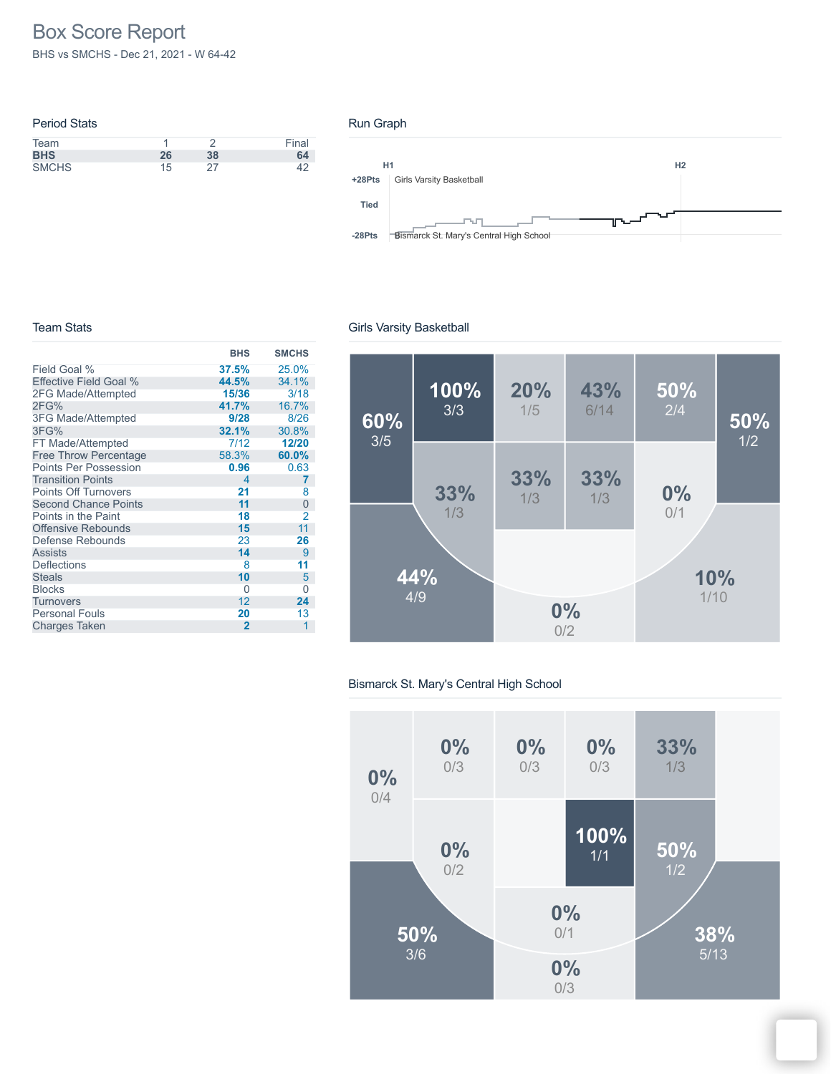# Box Score Report

BHS vs SMCHS - Dec 21, 2021 - W 64-42

| <b>Period Stats</b> |    |    |       |
|---------------------|----|----|-------|
| Team                |    |    | Final |
| <b>BHS</b>          | 26 | 38 | 64    |
| <b>SMCHS</b>        | 15 | 27 |       |

#### Run Graph



#### Team Stats

|                              | <b>BHS</b>     | <b>SMCHS</b> |
|------------------------------|----------------|--------------|
| Field Goal %                 | 37.5%          | 25.0%        |
| Effective Field Goal %       | 44.5%          | 34.1%        |
| 2FG Made/Attempted           | 15/36          | 3/18         |
| 2FG%                         | 41.7%          | 16.7%        |
| <b>3FG Made/Attempted</b>    | 9/28           | 8/26         |
| 3FG%                         | 32.1%          | 30.8%        |
| FT Made/Attempted            | 7/12           | 12/20        |
| <b>Free Throw Percentage</b> | 58.3%          | 60.0%        |
| <b>Points Per Possession</b> | 0.96           | 0.63         |
| <b>Transition Points</b>     | 4              | 7            |
| <b>Points Off Turnovers</b>  | 21             | 8            |
| <b>Second Chance Points</b>  | 11             | 0            |
| Points in the Paint          | 18             | 2            |
| Offensive Rebounds           | 15             | 11           |
| Defense Rebounds             | 23             | 26           |
| <b>Assists</b>               | 14             | 9            |
| <b>Deflections</b>           | 8              | 11           |
| <b>Steals</b>                | 10             | 5            |
| <b>Blocks</b>                | 0              | 0            |
| Turnovers                    | 12             | 24           |
| <b>Personal Fouls</b>        | 20             | 13           |
| <b>Charges Taken</b>         | $\overline{2}$ | 1            |

### Girls Varsity Basketball



### Bismarck St. Mary's Central High School